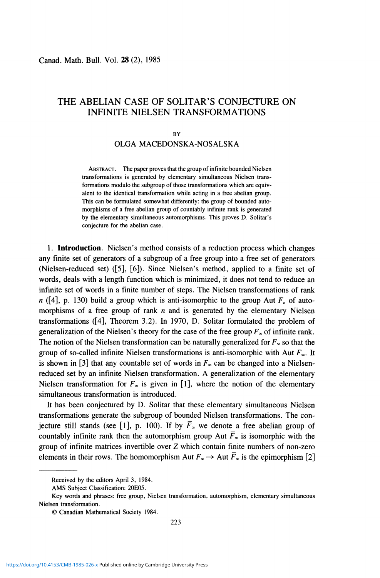# THE ABELIAN CASE OF SOLITAR'S CONJECTURE ON INFINITE NIELSEN TRANSFORMATIONS

#### **BY**

## OLGA MACEDONSKA-NOSALSKA

**ABSTRACT. The paper proves that the group of infinite bounded Nielsen transformations is generated by elementary simultaneous Nielsen transformations modulo the subgroup of those transformations which are equivalent to the identical transformation while acting in a free abelian group. This can be formulated somewhat differently: the group of bounded automorphisms of a free abelian group of countably infinite rank is generated by the elementary simultaneous automorphisms. This proves D. Solitar's conjecture for the abelian case.** 

**1. Introduction.** Nielsen's method consists of a reduction process which changes any finite set of generators of a subgroup of a free group into a free set of generators (Nielsen-reduced set) ([5], [6]). Since Nielsen's method, applied to a finite set of words, deals with a length function which is minimized, it does not tend to reduce an infinite set of words in a finite number of steps. The Nielsen transformations of rank n ([4], p. 130) build a group which is anti-isomorphic to the group Aut  $F<sub>n</sub>$  of automorphisms of a free group of rank *n* and is generated by the elementary Nielsen transformations ([4], Theorem 3.2). In 1970, D. Solitar formulated the problem of generalization of the Nielsen's theory for the case of the free group  $F_\infty$  of infinite rank. The notion of the Nielsen transformation can be naturally generalized for  $F_\infty$  so that the group of so-called infinite Nielsen transformations is anti-isomorphic with Aut  $F_{\infty}$ . It is shown in [3] that any countable set of words in  $F_*$  can be changed into a Nielsenreduced set by an infinite Nielsen transformation. A generalization of the elementary Nielsen transformation for  $F_{\infty}$  is given in [1], where the notion of the elementary simultaneous transformation is introduced.

It has been conjectured by D. Solitar that these elementary simultaneous Nielsen transformations generate the subgroup of bounded Nielsen transformations. The conjecture still stands (see [1], p. 100). If by  $\bar{F}_x$  we denote a free abelian group of countably infinite rank then the automorphism group Aut  $\overline{F}$ <sub>∞</sub> is isomorphic with the group of infinite matrices invertible over Z which contain finite numbers of non-zero elements in their rows. The homomorphism Aut  $F_\infty \to$  Aut  $\overline{F}_\infty$  is the epimorphism [2]

**Received by the editors April 3, 1984.** 

**AMS Subject Classification: 20E05.** 

**Key words and phrases: free group, Nielsen transformation, automorphism, elementary simultaneous Nielsen transformation.** 

**<sup>©</sup> Canadian Mathematical Society 1984.**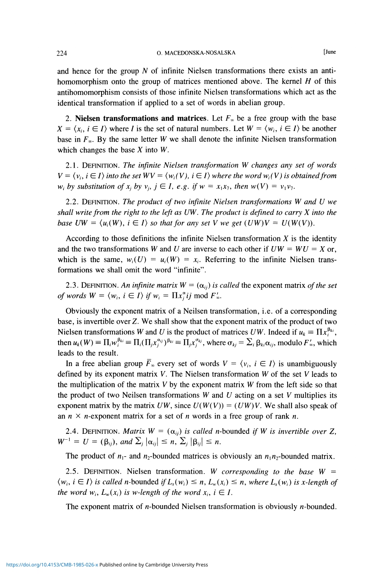and hence for the group *N* of infinite Nielsen transformations there exists an antihomomorphism onto the group of matrices mentioned above. The kernel *H* of this antihomomorphism consists of those infinite Nielsen transformations which act as the identical transformation if applied to a set of words in abelian group.

2. **Nielsen transformations and matrices**. Let  $F_\infty$  be a free group with the base  $X = \langle x_i, i \in I \rangle$  where *I* is the set of natural numbers. Let  $W = \langle w_i, i \in I \rangle$  be another base in  $F_\infty$ . By the same letter *W* we shall denote the infinite Nielsen transformation which changes the base *X* into *W.* 

2.1. DEFINITION. *The infinite Nielsen transformation W changes any set of words*   $V = \langle v_i, i \in I \rangle$  *into the set WV =*  $\langle w_i(V), i \in I \rangle$  *where the word*  $w_i(V)$  *is obtained from w*<sub>*i*</sub> by substitution of  $x_i$  by  $v_i$ ,  $j \in I$ , *e.g.* if  $w = x_1x_7$ , then  $w(V) = v_1v_7$ .

2.2. DEFINITION. *The product of two infinite Nielsen transformations W and U we shall write from the right to the left as UW. The product is defined to carry X into the base UW =*  $\langle u_i(W), i \in I \rangle$  *so that for any set V we get*  $(UW)V = U(W(V))$ *.* 

According to those definitions the infinite Nielsen transformation *X* is the identity and the two transformations *W* and *U* are inverse to each other if  $UW = WU = X$  or, which is the same,  $w_i(U) = u_i(W) = x_i$ . Referring to the infinite Nielsen transformations we shall omit the word "infinite".

2.3. DEFINITION. An infinite matrix  $W = (\alpha_{ij})$  is called the exponent matrix of the set *of words*  $W = \langle w_i, i \in I \rangle$  *if*  $w_i = \prod x_j^{\alpha} i j \mod F'$ .

Obviously the exponent matrix of a Neilsen transformation, i.e. of a corresponding base, is invertible over Z. We shall show that the exponent matrix of the product of two Nielsen transformations *W* and *U* is the product of matrices *UW*. Indeed if  $u_k \equiv \prod x_i^{\beta_{ki}}$ , then  $u_k(W) \equiv \prod_i w_i^{\beta_{ki}} \equiv \prod_i (\prod_j x_i^{\alpha_{ij}})^{\beta_{ki}} \equiv \prod_j x_i^{\sigma_{kj}}$ , where  $\sigma_{kj} = \sum_i \beta_{ki} \alpha_{ij}$ , modulo  $F'_\infty$ , which leads to the result.

In a free abelian group  $\overline{F}_x$  every set of words  $V = \langle v_i, i \in I \rangle$  is unambiguously defined by its exponent matrix *V.* The Nielsen transformation *W* of the set *V* leads to the multiplication of the matrix *V* by the exponent matrix *W* from the left side so that the product of two Neilsen transformations *W* and *U* acting on a set *V* multiplies its exponent matrix by the matrix  $UW$ , since  $U(W(V)) = (UW)V$ . We shall also speak of an  $n \times n$ -exponent matrix for a set of *n* words in a free group of rank *n*.

2.4. DEFINITION. *Matrix*  $W = (\alpha_{ij})$  *is called n*-bounded *if* W *is invertible over* Z,  $W^{-1} = U = (\beta_{ij}), \text{ and } \sum_j |\alpha_{ij}| \leq n, \sum_j |\beta_{ij}| \leq n.$ 

The product of  $n_1$ - and  $n_2$ -bounded matrices is obviously an  $n_1 n_2$ -bounded matrix.

2.5. DEFINITION. Nielsen transformation. *W corresponding to the base W =*   $\langle w_i, i \in I \rangle$  *is called n*-bounded *if*  $L_x(w_i) \leq n$ ,  $L_w(x_i) \leq n$ , where  $L_x(w_i)$  *is x-length of the word*  $w_i$ ,  $L_w(x_i)$  *is w-length of the word*  $x_i$ ,  $i \in I$ .

The exponent matrix of  $n$ -bounded Nielsen transformation is obviously  $n$ -bounded.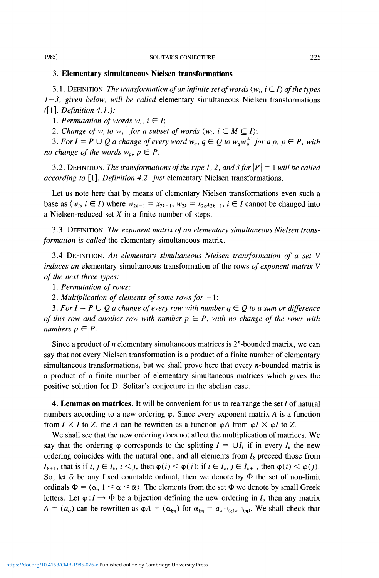### 3. **Elementary simultaneous Nielsen transformations.**

3.1. DEFINITION. The transformation of an infinite set of words  $\langle w_i, i \in I \rangle$  of the types *1—3, given below, will be called* elementary simultaneous Nielsen transformations f[l], *Definition 4.1.):* 

1. Permutation of words  $w_i$ ,  $i \in I$ ;

2. Change of  $w_i$  to  $w_i^{-1}$  for a subset of words  $\langle w_i, i \in M \subseteq I \rangle$ ;

3. For  $I = P \cup Q$  a change of every word  $w_a$ ,  $q \in Q$  to  $w_a w_a^{\pm 1}$  for a p,  $p \in P$ , with *no change of the words*  $w_p$ *,*  $p \in P$ *.* 

3.2. DEFINITION. *The transformations of the type 1,2, and 3 for \P\ =* 1 *will be called according to* [1], *Definition 4.2, just* elementary Nielsen transformations.

Let us note here that by means of elementary Nielsen transformations even such a base as  $\langle w_i, i \in I \rangle$  where  $w_{2k-1} = x_{2k-1}, w_{2k} = x_{2k}x_{2k-1}, i \in I$  cannot be changed into a Nielsen-reduced set *X* in a finite number of steps.

3.3. DEFINITION. *The exponent matrix of an elementary simultaneous Nielsen transformation is called* the elementary simultaneous matrix.

3.4 DEFINITION. *An elementary simultaneous Nielsen transformation of a set V induces an* elementary simultaneous transformation of the rows *of exponent matrix V of the next three types:* 

1. *Permutation of rows;* 

2. Multiplication of elements of some rows for  $-1$ ;

3. For  $I = P \cup Q$  a change of every row with number  $q \in Q$  to a sum or difference *of this row and another row with number*  $p \in P$ *, with no change of the rows with numbers*  $p \in P$ .

Since a product of *n* elementary simultaneous matrices is 2"-bounded matrix, we can say that not every Nielsen transformation is a product of a finite number of elementary simultaneous transformations, but we shall prove here that every  $n$ -bounded matrix is a product of a finite number of elementary simultaneous matrices which gives the positive solution for D. Solitar's conjecture in the abelian case.

4. **Lemmas on matrices.** It will be convenient for us to rearrange the set / of natural numbers according to a new ordering  $\varphi$ . Since every exponent matrix A is a function from  $I \times I$  to Z, the A can be rewritten as a function  $\varphi A$  from  $\varphi I \times \varphi I$  to Z.

We shall see that the new ordering does not affect the multiplication of matrices. We say that the ordering  $\varphi$  corresponds to the splitting  $I = \bigcup_{k} I_{k}$  if in every  $I_{k}$  the new ordering coincides with the natural one, and all elements from  $I_k$  preceed those from  $I_{k+1}$ , that is if  $i, j \in I_k$ ,  $i < j$ , then  $\varphi(i) < \varphi(j)$ ; if  $i \in I_k$ ,  $j \in I_{k+1}$ , then  $\varphi(i) < \varphi(j)$ . So, let  $\bar{\alpha}$  be any fixed countable ordinal, then we denote by  $\Phi$  the set of non-limit ordinals  $\Phi = \langle \alpha, 1 \le \alpha \le \bar{\alpha} \rangle$ . The elements from the set  $\Phi$  we denote by small Greek letters. Let  $\varphi: I \to \Phi$  be a bijection defining the new ordering in I, then any matrix  $A = (a_{ij})$  can be rewritten as  $\varphi A = (\alpha_{\xi\eta})$  for  $\alpha_{\xi\eta} = a_{\varphi^{-1}(\xi)\varphi^{-1}(\eta)}$ . We shall check that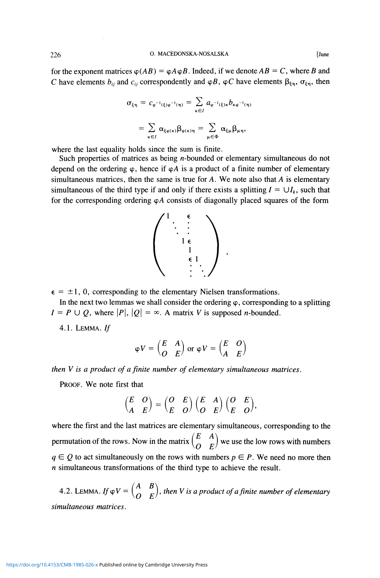for the exponent matrices  $\varphi(AB) = \varphi A \varphi B$ . Indeed, if we denote  $AB = C$ , where B and C have elements  $b_{ij}$  and  $c_{ij}$  correspondently and  $\varphi B$ ,  $\varphi C$  have elements  $\beta_{\xi\eta}$ ,  $\sigma_{\xi\eta}$ , then

$$
\sigma_{\xi\eta} = c_{\varphi^{-1}(\xi)\varphi^{-1}(\eta)} = \sum_{\kappa \in I} a_{\varphi^{-1}(\xi)\kappa} b_{\kappa \varphi^{-1}(\eta)}
$$

$$
= \sum_{\kappa \in I} \alpha_{\xi\varphi(\kappa)} \beta_{\varphi(\kappa)\eta} = \sum_{\mu \in \Phi} \alpha_{\xi\mu} \beta_{\mu\eta},
$$

where the last equality holds since the sum is finite.

Such properties of matrices as being *n*-bounded or elementary simultaneous do not depend on the ordering  $\varphi$ , hence if  $\varphi A$  is a product of a finite number of elementary simultaneous matrices, then the same is true for  $A$ . We note also that  $A$  is elementary simultaneous of the third type if and only if there exists a splitting  $I = \bigcup I_k$ , such that for the corresponding ordering  $\varphi A$  consists of diagonally placed squares of the form



 $\epsilon = \pm 1, 0$ , corresponding to the elementary Nielsen transformations.

In the next two lemmas we shall consider the ordering  $\varphi$ , corresponding to a splitting  $I = P \cup Q$ , where  $|P|, |Q| = \infty$ . A matrix *V* is supposed *n*-bounded.

 $4.1.$  LEMMA. If

$$
\varphi V = \begin{pmatrix} E & A \\ O & E \end{pmatrix}
$$
 or 
$$
\varphi V = \begin{pmatrix} E & O \\ A & E \end{pmatrix}
$$

*then V is a product of a finite number of elementary simultaneous matrices.* 

PROOF. We note first that

$$
\begin{pmatrix} E & O \\ A & E \end{pmatrix} = \begin{pmatrix} O & E \\ E & O \end{pmatrix} \begin{pmatrix} E & A \\ O & E \end{pmatrix} \begin{pmatrix} O & E \\ E & O \end{pmatrix},
$$

where the first and the last matrices are elementary simultaneous, corresponding to the permutation of the rows. Now in the matrix  $\begin{pmatrix} E & A \\ O & E \end{pmatrix}$  we use the low rows with numbers  $q \in Q$  to act simultaneously on the rows with numbers  $p \in P$ . We need no more then *n* simultaneous transformations of the third type to achieve the result.

4.2. LEMMA. If  $\varphi V=\begin{pmatrix} A & B \\ O & E \end{pmatrix}$ , then V is a product of a finite number of elementary *simultaneous matrices.*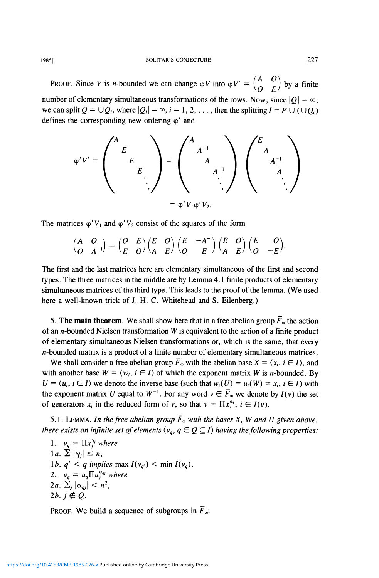PROOF. Since *V* is *n*-bounded we can change  $\varphi V$  into  $\varphi V' = \begin{pmatrix} A & O \\ O & D \end{pmatrix}$  by a finite number of elementary simultaneous transformations of the rows. Now, since  $|O| = \infty$ , we can split  $Q = \bigcup Q_i$ , where  $|Q_i| = \infty$ ,  $i = 1, 2, \ldots$ , then the splitting  $I = P \cup (\bigcup Q_i)$ defines the corresponding new ordering  $\varphi'$  and

$$
\varphi' V' = \begin{pmatrix} A & & & \\ & E & & \\ & & E & \\ & & & \ddots \end{pmatrix} = \begin{pmatrix} A & & & \\ & A^{-1} & & \\ & & A^{-1} & \\ & & & \ddots \end{pmatrix} \begin{pmatrix} E & & & \\ & A & & \\ & & A^{-1} & \\ & & & A \\ & & & \ddots \end{pmatrix}
$$

The matrices  $\varphi' V_1$  and  $\varphi' V_2$  consist of the squares of the form

$$
\begin{pmatrix} A & O \\ O & A^{-1} \end{pmatrix} = \begin{pmatrix} O & E \\ E & O \end{pmatrix} \begin{pmatrix} E & O \\ A & E \end{pmatrix} \begin{pmatrix} E & -A^{-1} \\ O & E \end{pmatrix} \begin{pmatrix} E & O \\ A & E \end{pmatrix} \begin{pmatrix} E & O \\ O & -E \end{pmatrix}.
$$

The first and the last matrices here are elementary simultaneous of the first and second types. The three matrices in the middle are by Lemma 4.1 finite products of elementary simultaneous matrices of the third type. This leads to the proof of the lemma. (We used here a well-known trick of J. H. C. Whitehead and S. Eilenberg.)

5. The main theorem. We shall show here that in a free abelian group  $\bar{F}_{\infty}$  the action of an  $n$ -bounded Nielsen transformation  $W$  is equivalent to the action of a finite product of elementary simultaneous Nielsen transformations or, which is the same, that every  $n$ -bounded matrix is a product of a finite number of elementary simultaneous matrices.

We shall consider a free abelian group  $\overline{F}_{\infty}$  with the abelian base  $X = \langle x_i, i \in I \rangle$ , and with another base  $W = \langle w_i, i \in I \rangle$  of which the exponent matrix *W* is *n*-bounded. By  $U = \langle u_i, i \in I \rangle$  we denote the inverse base (such that  $w_i(U) = u_i(W) = x_i, i \in I$ ) with the exponent matrix U equal to  $W^{-1}$ . For any word  $v \in \overline{F}_{\infty}$  we denote by  $I(v)$  the set of generators  $x_i$  in the reduced form of v, so that  $v = \prod x_i^{\alpha_i}$ ,  $i \in I(v)$ .

5.1. LEMMA. In the free abelian group  $\bar{F}_\infty$  with the bases X, W and U given above, *there exists an infinite set of elements*  $\langle v_q, q \in Q \subseteq I \rangle$  *having the following properties:* 

1.  $v_q = \prod x_j^{\gamma_j}$  where  $|a. \sum |\gamma_j| \leq n$ , 1*b.*  $q' < q$  implies max  $I(v_q) < \min I(v_q)$ , 2.  $v_q = u_q \prod u_j^{\alpha_{qj}}$  where  $2a. \sum_j |\alpha_{qj}| < n^2$ , 2*b.*  $i \notin Q$ .

PROOF. We build a sequence of subgroups in  $F_{\infty}$ .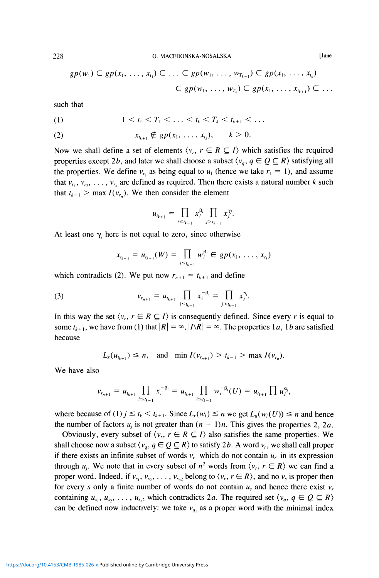$$
gp(w_1) \subset gp(x_1, \ldots, x_{t_1}) \subset \ldots \subset gp(w_1, \ldots, w_{T_{k-1}}) \subset gp(x_1, \ldots, x_{t_k})
$$
  

$$
\subset gp(w_1, \ldots, w_{T_k}) \subset gp(x_1, \ldots, x_{t_{k+1}}) \subset \ldots
$$

such that

$$
(1) \t 1 < t_1 < T_1 < \ldots < t_k < T_k < t_{k+1} < \ldots
$$

(2) 
$$
x_{t_{k+1}} \notin gp(x_1, ..., x_{t_k}), \quad k > 0.
$$

Now we shall define a set of elements  $\langle v_r, r \in R \subseteq I \rangle$  which satisfies the required properties except 2b, and later we shall choose a subset  $\langle v_q, q \in Q \subseteq R \rangle$  satisfying all the properties. We define  $v_{r_1}$  as being equal to  $u_1$  (hence we take  $r_1 = 1$ ), and assume that  $v_{r_1}, v_{r_2}, \ldots, v_{r_n}$  are defined as required. Then there exists a natural number k such that  $t_{k-1} > \max I(v_{r_n})$ . We then consider the element

$$
u_{t_{k+1}} = \prod_{i \leq t_{k-1}} x_i^{\beta_i} \prod_{j > t_{k-1}} x_j^{\gamma_j}.
$$

At least one  $\gamma_i$  here is not equal to zero, since otherwise

$$
x_{t_{k+1}} = u_{t_{k+1}}(W) = \prod_{i \leq t_{k-1}} w_i^{\beta_i} \in gp(x_1, \ldots, x_{t_k})
$$

which contradicts (2). We put now  $r_{n+1} = t_{k+1}$  and define

(3) 
$$
v_{r_{n+1}} = u_{r_{k+1}} \prod_{i \leq t_{k-1}} x_i^{-\beta_i} = \prod_{j > t_{k-1}} x_j^{\gamma_j}.
$$

In this way the set  $\langle v_r, r \in R \subseteq I \rangle$  is consequently defined. Since every *r* is equal to some  $t_{k+1}$ , we have from (1) that  $|R| = \infty$ ,  $|I \setminus R| = \infty$ . The properties 1*a*, 1*b* are satisfied because

$$
L_x(u_{t_{k+1}}) \le n
$$
, and min  $I(v_{t_{n+1}}) > t_{k-1} > \max I(v_{t_n})$ .

We have also

$$
v_{r_{n+1}} = u_{t_{k+1}} \prod_{i \leq t_{k-1}} x_i^{-\beta_i} = u_{t_{k+1}} \prod_{i \leq t_{k-1}} w_i^{-\beta_i}(U) = u_{t_{k+1}} \prod u_j^{\alpha_j},
$$

where because of (1)  $j \le t_k < t_{k+1}$ . Since  $L_x(w_i) \le n$  we get  $L_u(w_i(U)) \le n$  and hence the number of factors  $u_i$  is not greater than  $(n - 1)n$ . This gives the properties 2, 2a.

Obviously, every subset of  $\langle v_r, r \in R \subseteq I \rangle$  also satisfies the same properties. We shall choose now a subset  $\langle v_q, q \in Q \subseteq R \rangle$  to satisfy 2b. A word  $v_r$ , we shall call proper if there exists an infinite subset of words  $v_r$  which do not contain  $u_r$  in its expression through  $u_j$ . We note that in every subset of  $n^2$  words from  $\langle v_r, r \in R \rangle$  we can find a proper word. Indeed, if  $v_{s_1}, v_{s_2}, \ldots, v_{s_n}$  belong to  $\langle v_r, r \in R \rangle$ , and no  $v_s$  is proper then for every *s* only a finite number of words do not contain *u<sup>s</sup>* and hence there exist *v<sup>r</sup>* containing  $u_{s_1}, u_{s_2}, \ldots, u_{s_n}$  which contradicts 2*a*. The required set  $\langle v_q, q \in Q \subseteq R \rangle$ can be defined now inductively: we take  $v_{q_1}$  as a proper word with the minimal index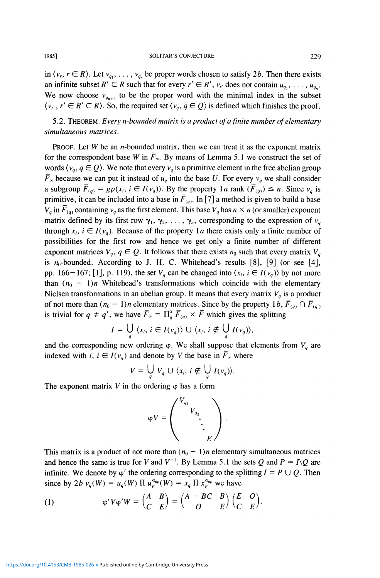in  $\langle v_r, r \in R \rangle$ . Let  $v_{q_1}, \ldots, v_{q_n}$  be proper words chosen to satisfy 2*b*. Then there exists an infinite subset  $R' \subset R$  such that for every  $r' \in R'$ ,  $v_{r'}$  does not contain  $u_{q_1}, \ldots, u_{q_n}$ . We now choose  $v_{q_{n+1}}$  to be the proper word with the minimal index in the subset  $\langle v_r, r' \in R' \subset R \rangle$ . So, the required set  $\langle v_q, q \in Q \rangle$  is defined which finishes the proof.

5.2. THEOREM. *Every n-bounded matrix is a product of a finite number of elementary simultaneous matrices.* 

PROOF. Let *W* be an *n*-bounded matrix, then we can treat it as the exponent matrix for the correspondent base *W* in  $\overline{F}_{\infty}$ . By means of Lemma 5.1 we construct the set of words  $\langle v_q, q \in Q \rangle$ . We note that every  $v_q$  is a primitive element in the free abelian group  $\overline{F}_{\infty}$  because we can put it instead of  $u_q$  into the base U. For every  $v_q$  we shall consider a subgroup  $\overline{F}_{(q)} = gp(x_i, i \in I(v_q))$ . By the property  $1a$  rank  $(\overline{F}_{(q)}) \le n$ . Since  $v_q$  is primitive, it can be included into a base in  $F_{(q)}$ . In [7] a method is given to build a base  $V_q$  in  $\overline{F}_{(q)}$  containing  $v_q$  as the first element. This base  $V_q$  has  $n \times n$  (or smaller) exponent matrix defined by its first row  $\gamma_1, \gamma_2, \ldots, \gamma_n$ , corresponding to the expression of  $v_q$ through  $x_i$ ,  $i \in I(v_a)$ . Because of the property 1*a* there exists only a finite number of possibilities for the first row and hence we get only a finite number of different exponent matrices  $V_q$ ,  $q \in Q$ . It follows that there exists  $n_0$  such that every matrix  $V_q$ is  $n_0$ -bounded. According to J. H. C. Whitehead's results [8], [9] (or see [4], pp. 166-167; [1], p. 119), the set  $V_a$  can be changed into  $\langle x_i, i \in I(v_a) \rangle$  by not more than  $(n_0 - 1)n$  Whitehead's transformations which coincide with the elementary Nielsen transformations in an abelian group. It means that every matrix *Vq* is a product of not more than  $(n_0 - 1)n$  elementary matrices. Since by the property 1*b*,  $\overline{F}_{(q)} \cap \overline{F}_{(q')}$ is trivial for  $q \neq q'$ , we have  $\overline{F}_x = \prod_{q}^{x} \overline{F}_{(q)} \times \overline{F}$  which gives the splitting

$$
I = \bigcup_{q} \langle x_i, i \in I(v_q) \rangle \cup \langle x_i, i \notin \bigcup_{q} I(v_q) \rangle,
$$

and the corresponding new ordering  $\varphi$ . We shall suppose that elements from  $V_q$  are indexed with *i*,  $i \in I(v_q)$  and denote by *V* the base in  $\overline{F}_\infty$  where

$$
V = \bigcup_{q} V_{q} \cup \langle x_{i}, i \notin \bigcup_{q} I(v_{q}) \rangle.
$$

The exponent matrix  $V$  in the ordering  $\varphi$  has a form

$$
\varphi V = \begin{pmatrix} V_{q_1} & & \\ & V_{q_2} & \\ & & \ddots & \\ & & & E \end{pmatrix}.
$$

This matrix is a product of not more than  $(n_0 - 1)n$  elementary simultaneous matrices and hence the same is true for *V* and  $V^{-1}$ . By Lemma 5.1 the sets Q and  $P = I\setminus Q$  are infinite. We denote by  $\varphi'$  the ordering corresponding to the splitting  $I = P \cup Q$ . Then since by 2*b*  $v_q(W) = u_q(W) \prod u_p^{\alpha_{qp}}(W) = x_q \prod x_p^{\alpha_{qp}}$  we have

(1) 
$$
\varphi' V \varphi' W = \begin{pmatrix} A & B \\ C & E \end{pmatrix} = \begin{pmatrix} A - BC & B \\ O & E \end{pmatrix} \begin{pmatrix} E & O \\ C & E \end{pmatrix}.
$$